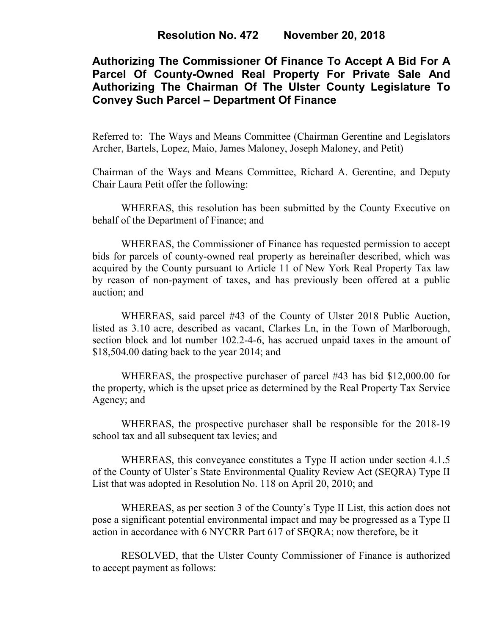# **Authorizing The Commissioner Of Finance To Accept A Bid For A Parcel Of County-Owned Real Property For Private Sale And Authorizing The Chairman Of The Ulster County Legislature To Convey Such Parcel – Department Of Finance**

Referred to: The Ways and Means Committee (Chairman Gerentine and Legislators Archer, Bartels, Lopez, Maio, James Maloney, Joseph Maloney, and Petit)

Chairman of the Ways and Means Committee, Richard A. Gerentine, and Deputy Chair Laura Petit offer the following:

WHEREAS, this resolution has been submitted by the County Executive on behalf of the Department of Finance; and

WHEREAS, the Commissioner of Finance has requested permission to accept bids for parcels of county-owned real property as hereinafter described, which was acquired by the County pursuant to Article 11 of New York Real Property Tax law by reason of non-payment of taxes, and has previously been offered at a public auction; and

WHEREAS, said parcel #43 of the County of Ulster 2018 Public Auction, listed as 3.10 acre, described as vacant, Clarkes Ln, in the Town of Marlborough, section block and lot number 102.2-4-6, has accrued unpaid taxes in the amount of \$18,504.00 dating back to the year 2014; and

WHEREAS, the prospective purchaser of parcel #43 has bid \$12,000.00 for the property, which is the upset price as determined by the Real Property Tax Service Agency; and

WHEREAS, the prospective purchaser shall be responsible for the 2018-19 school tax and all subsequent tax levies; and

WHEREAS, this conveyance constitutes a Type II action under section 4.1.5 of the County of Ulster's State Environmental Quality Review Act (SEQRA) Type II List that was adopted in Resolution No. 118 on April 20, 2010; and

WHEREAS, as per section 3 of the County's Type II List, this action does not pose a significant potential environmental impact and may be progressed as a Type II action in accordance with 6 NYCRR Part 617 of SEQRA; now therefore, be it

RESOLVED, that the Ulster County Commissioner of Finance is authorized to accept payment as follows: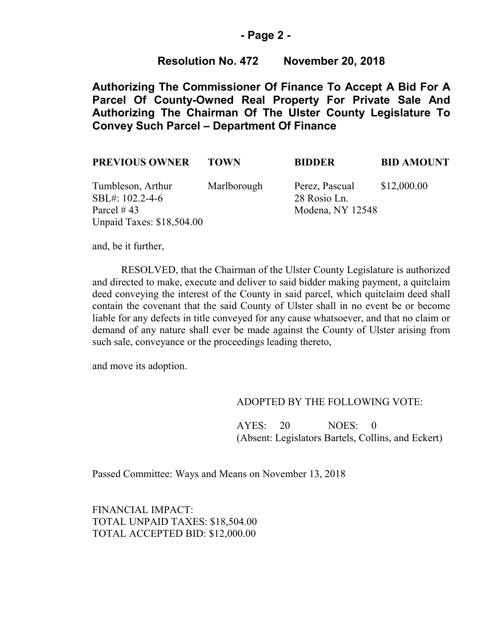#### **- Page 2 -**

### **Resolution No. 472 November 20, 2018**

**Authorizing The Commissioner Of Finance To Accept A Bid For A Parcel Of County-Owned Real Property For Private Sale And Authorizing The Chairman Of The Ulster County Legislature To Convey Such Parcel – Department Of Finance**

| <b>PREVIOUS OWNER</b>                                  | <b>TOWN</b> | <b>BIDDER</b>                                      | <b>BID AMOUNT</b> |
|--------------------------------------------------------|-------------|----------------------------------------------------|-------------------|
| Tumbleson, Arthur<br>SBL#: 102.2-4-6<br>Parcel $\#$ 43 | Marlborough | Perez, Pascual<br>28 Rosio Ln.<br>Modena, NY 12548 | \$12,000.00       |
| <b>Unpaid Taxes: \$18,504.00</b>                       |             |                                                    |                   |

and, be it further,

RESOLVED, that the Chairman of the Ulster County Legislature is authorized and directed to make, execute and deliver to said bidder making payment, a quitclaim deed conveying the interest of the County in said parcel, which quitclaim deed shall contain the covenant that the said County of Ulster shall in no event be or become liable for any defects in title conveyed for any cause whatsoever, and that no claim or demand of any nature shall ever be made against the County of Ulster arising from such sale, conveyance or the proceedings leading thereto,

and move its adoption.

#### ADOPTED BY THE FOLLOWING VOTE:

AYES: 20 NOES: 0 (Absent: Legislators Bartels, Collins, and Eckert)

Passed Committee: Ways and Means on November 13, 2018

FINANCIAL IMPACT: TOTAL UNPAID TAXES: \$18,504.00 TOTAL ACCEPTED BID: \$12,000.00